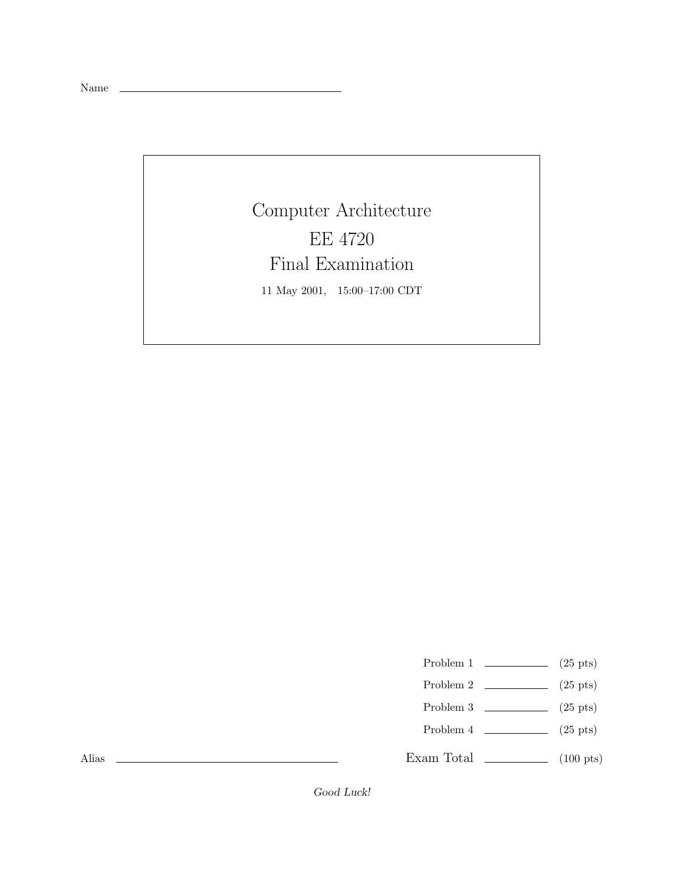Name

Computer Architecture EE 4720 Final Examination 11 May 2001, 15:00–17:00 CDT

Problem 1  $\qquad \qquad$  (25 pts)

- Problem 2  $\qquad \qquad$  (25 pts)
- Problem 3  $\qquad \qquad$  (25 pts)
- Problem 4  $\qquad \qquad (25 \text{ pts})$

Exam Total  $\qquad \qquad$  (100 pts)

Alias

*Good Luck!*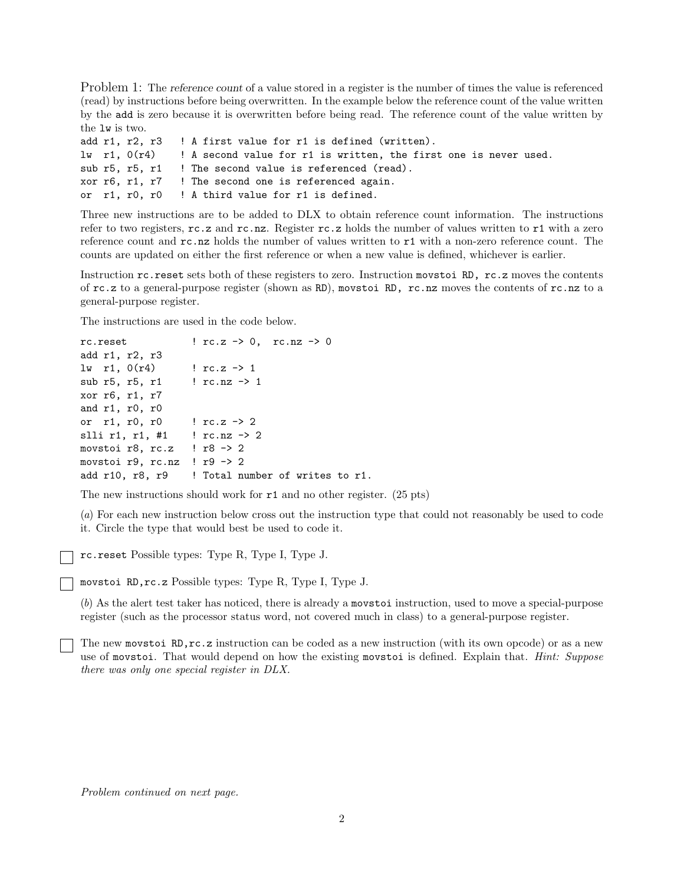Problem 1: The *reference count* of a value stored in a register is the number of times the value is referenced (read) by instructions before being overwritten. In the example below the reference count of the value written by the add is zero because it is overwritten before being read. The reference count of the value written by the lw is two.

|  |  | add r1, r2, r3 ! A first value for r1 is defined (written).                                        |
|--|--|----------------------------------------------------------------------------------------------------|
|  |  | $\mathbf{u}$ r1, $0(\mathbf{r}4)$ ! A second value for r1 is written, the first one is never used. |
|  |  | sub r5, r5, r1 ! The second value is referenced (read).                                            |
|  |  | xor r6, r1, r7 ! The second one is referenced again.                                               |
|  |  | or r1, r0, r0 ! A third value for r1 is defined.                                                   |

Three new instructions are to be added to DLX to obtain reference count information. The instructions refer to two registers,  $rc.z$  and  $rc.nz$ . Register  $rc.z$  holds the number of values written to r1 with a zero reference count and rc.nz holds the number of values written to r1 with a non-zero reference count. The counts are updated on either the first reference or when a new value is defined, whichever is earlier.

Instruction rc.reset sets both of these registers to zero. Instruction movstoi RD, rc.z moves the contents of rc.z to a general-purpose register (shown as RD), movstoi RD, rc.nz moves the contents of rc.nz to a general-purpose register.

The instructions are used in the code below.

```
rc.reset \qquad \qquad \qquad \qquad \qquad \qquad \qquad \qquad \qquad \qquad \qquad \qquad \qquad \qquad \qquad \qquad \qquad \qquad \qquad \qquad \qquad \qquad \qquad \qquad \qquad \qquad \qquad \qquad \qquad \qquad \qquad \qquad \qquad \qquad \qquad \qquadadd r1, r2, r3
lw r1, 0(r4) ! rc. z -> 1
sub r5, r5, r1 ! rc.nz -> 1
xor r6, r1, r7
and r1, r0, r0
or r1, r0, r0 ! rc.z -> 2
slli r1, r1, #1 ! rc.nz -> 2
movstoi r8, rc.z ! r8 -> 2
movstoi r9, rc.nz ! r9 \rightarrow 2add r10, r8, r9 | Total number of writes to r1.
```
The new instructions should work for r1 and no other register. (25 pts)

(*a*) For each new instruction below cross out the instruction type that could not reasonably be used to code it. Circle the type that would best be used to code it.

rc.reset Possible types: Type R, Type I, Type J.

movstoi RD,rc.z Possible types: Type R, Type I, Type J.

(*b*) As the alert test taker has noticed, there is already a movstoi instruction, used to move a special-purpose register (such as the processor status word, not covered much in class) to a general-purpose register.

The new movstoi RD,rc.z instruction can be coded as a new instruction (with its own opcode) or as a new use of movstoi. That would depend on how the existing movstoi is defined. Explain that. *Hint: Suppose there was only one special register in DLX.*

*Problem continued on next page.*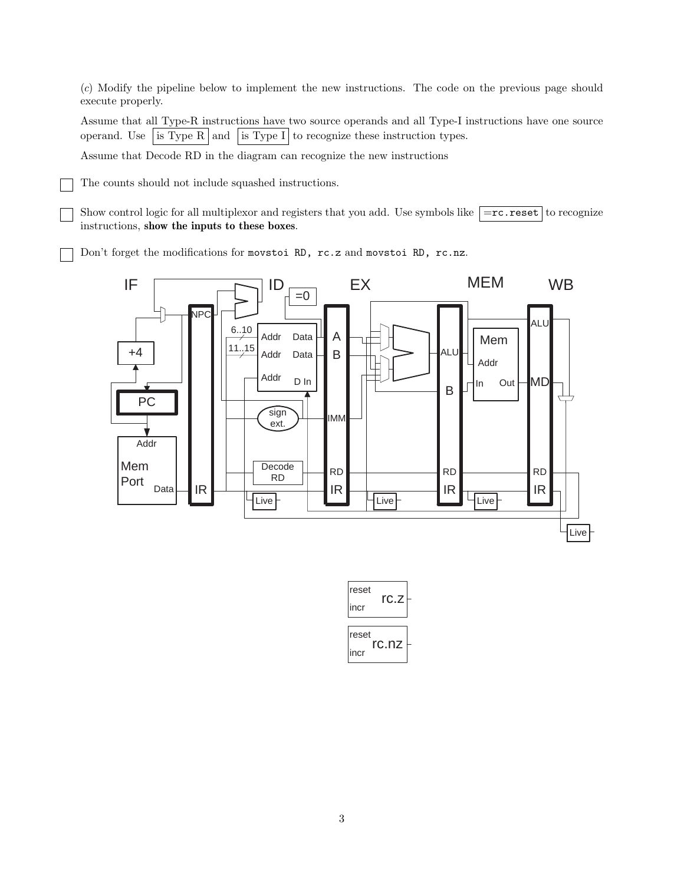(*c*) Modify the pipeline below to implement the new instructions. The code on the previous page should execute properly.

Assume that all Type-R instructions have two source operands and all Type-I instructions have one source operand. Use is Type R and is Type I to recognize these instruction types.

Assume that Decode RD in the diagram can recognize the new instructions

The counts should not include squashed instructions.

Show control logic for all multiplexor and registers that you add. Use symbols like  $\boxed{=\text{rc}.\text{reset}}$  to recognize instructions, **show the inputs to these boxes**.

Don't forget the modifications for movstoi RD, rc.z and movstoi RD, rc.nz.



| reset                  | rc.z |  |  |  |
|------------------------|------|--|--|--|
| incr                   |      |  |  |  |
|                        |      |  |  |  |
| reset<br>rc.nz<br>incr |      |  |  |  |
|                        |      |  |  |  |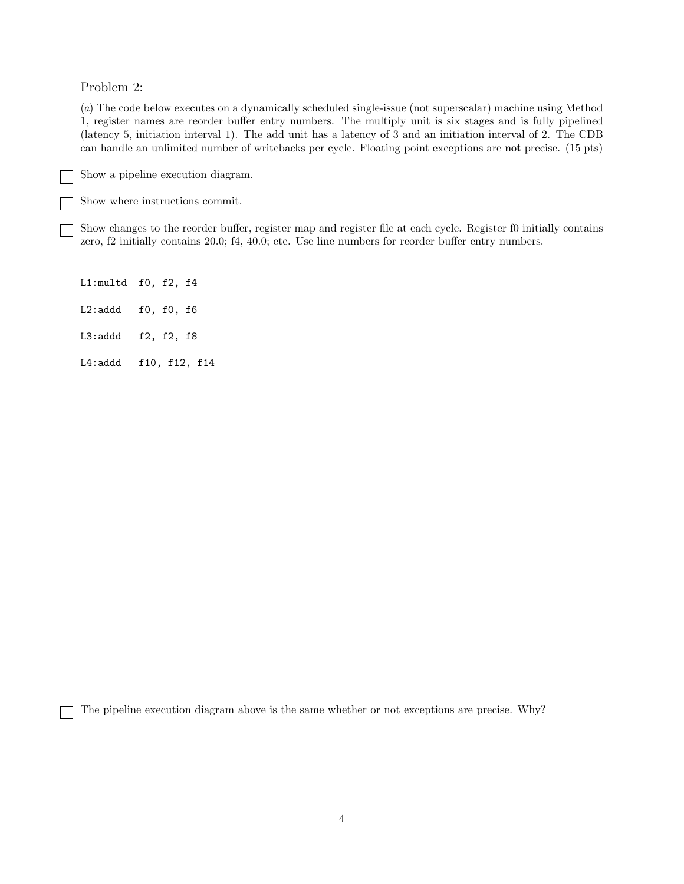Problem 2:

(*a*) The code below executes on a dynamically scheduled single-issue (not superscalar) machine using Method 1, register names are reorder buffer entry numbers. The multiply unit is six stages and is fully pipelined (latency 5, initiation interval 1). The add unit has a latency of 3 and an initiation interval of 2. The CDB can handle an unlimited number of writebacks per cycle. Floating point exceptions are **not** precise. (15 pts)

Show a pipeline execution diagram.

Show where instructions commit.

Show changes to the reorder buffer, register map and register file at each cycle. Register f0 initially contains zero, f2 initially contains 20.0; f4, 40.0; etc. Use line numbers for reorder buffer entry numbers.

L1:multd f0, f2, f4 L2:addd f0, f0, f6 L3:addd f2, f2, f8 L4:addd f10, f12, f14

The pipeline execution diagram above is the same whether or not exceptions are precise. Why?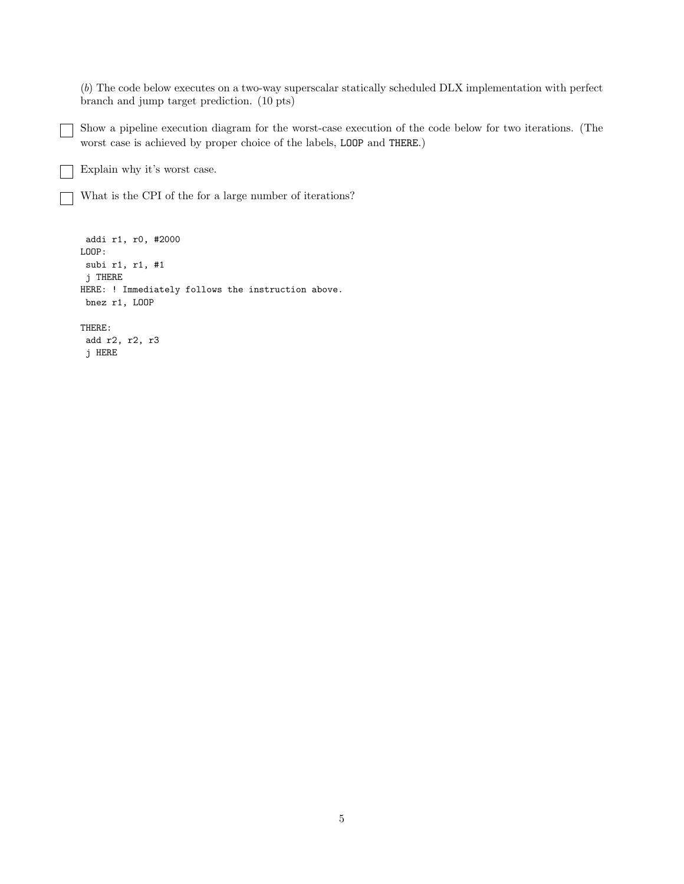(*b*) The code below executes on a two-way superscalar statically scheduled DLX implementation with perfect branch and jump target prediction. (10 pts)

Show a pipeline execution diagram for the worst-case execution of the code below for two iterations. (The worst case is achieved by proper choice of the labels, LOOP and THERE.)

Explain why it's worst case.

j HERE

What is the CPI of the for a large number of iterations?

```
addi r1, r0, #2000
LOOP:
subi r1, r1, #1
j THERE
HERE: ! Immediately follows the instruction above.
bnez r1, LOOP
THERE:
add r2, r2, r3
```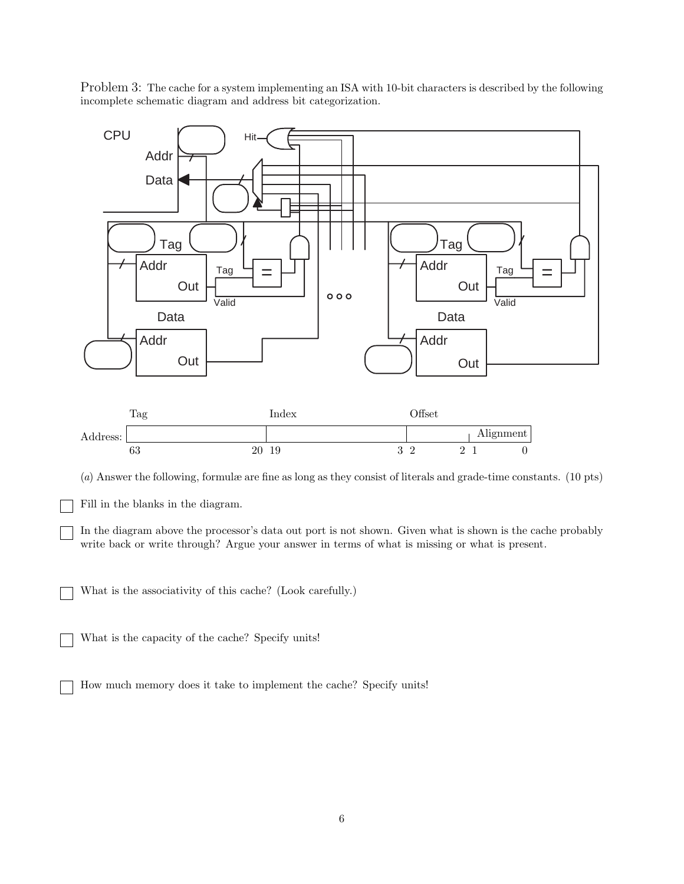Problem 3: The cache for a system implementing an ISA with 10-bit characters is described by the following incomplete schematic diagram and address bit categorization.



In the diagram above the processor's data out port is not shown. Given what is shown is the cache probably write back or write through? Argue your answer in terms of what is missing or what is present.

What is the associativity of this cache? (Look carefully.)

What is the capacity of the cache? Specify units!

How much memory does it take to implement the cache? Specify units!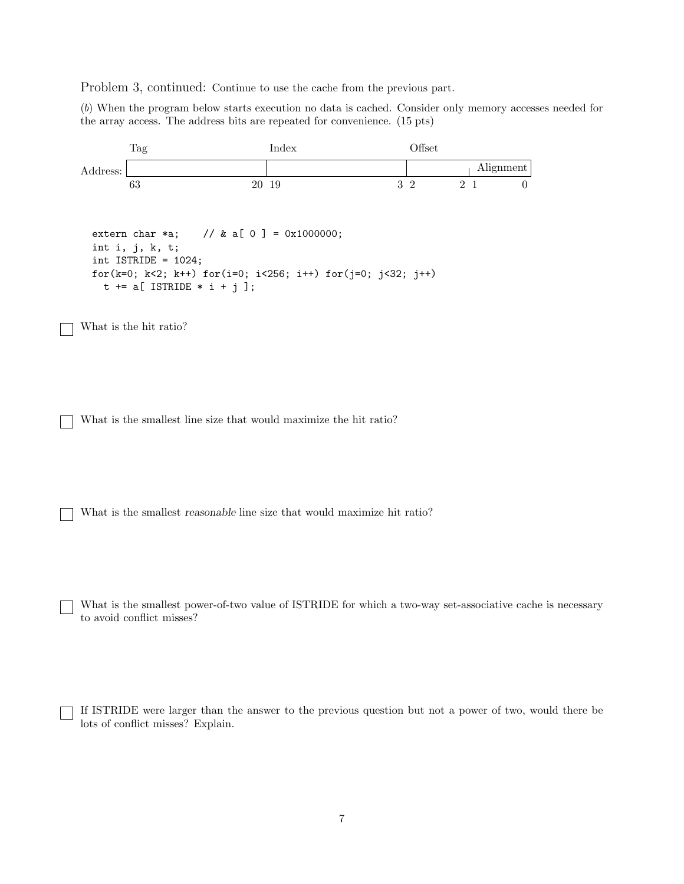Problem 3, continued: Continue to use the cache from the previous part.

(*b*) When the program below starts execution no data is cached. Consider only memory accesses needed for the array access. The address bits are repeated for convenience. (15 pts)



What is the smallest power-of-two value of ISTRIDE for which a two-way set-associative cache is necessary to avoid conflict misses?

If ISTRIDE were larger than the answer to the previous question but not a power of two, would there be lots of conflict misses? Explain.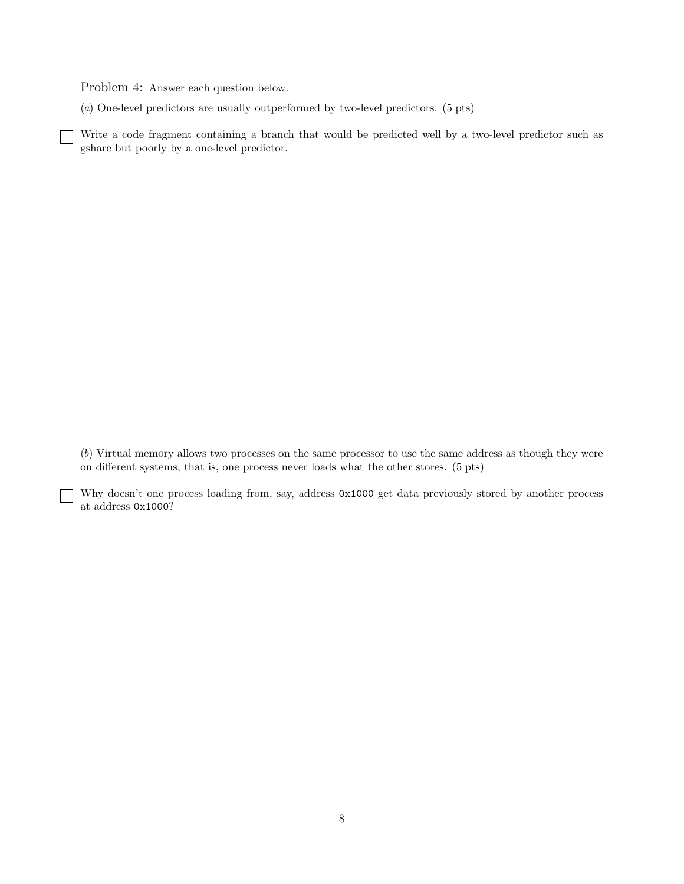Problem 4: Answer each question below.

 $\vert \ \ \vert$ 

(*a*) One-level predictors are usually outperformed by two-level predictors. (5 pts)

Write a code fragment containing a branch that would be predicted well by a two-level predictor such as gshare but poorly by a one-level predictor.

(*b*) Virtual memory allows two processes on the same processor to use the same address as though they were on different systems, that is, one process never loads what the other stores. (5 pts)

Why doesn't one process loading from, say, address 0x1000 get data previously stored by another process at address 0x1000?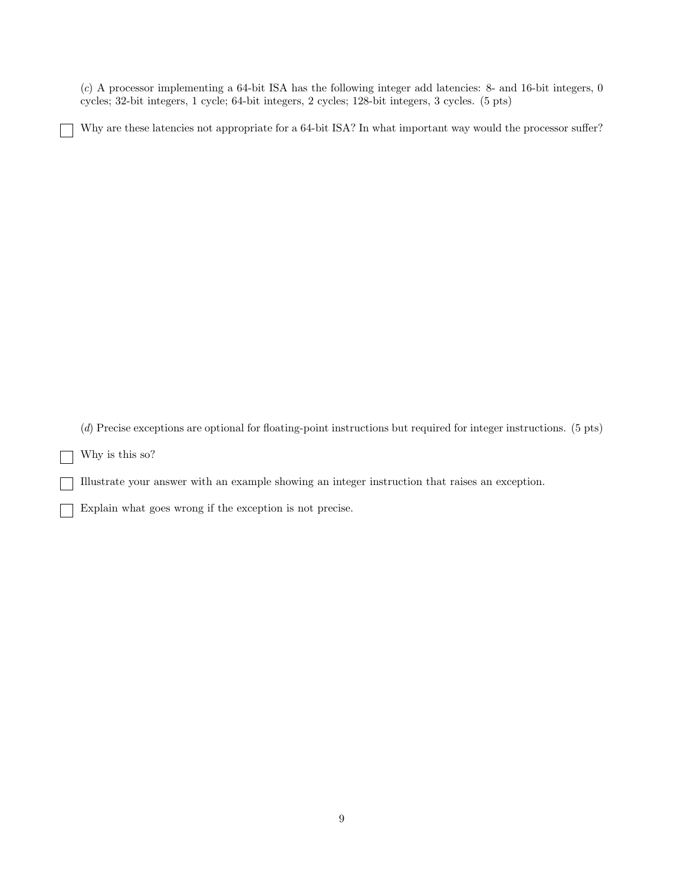(*c*) A processor implementing a 64-bit ISA has the following integer add latencies: 8- and 16-bit integers, 0 cycles; 32-bit integers, 1 cycle; 64-bit integers, 2 cycles; 128-bit integers, 3 cycles. (5 pts)

Why are these latencies not appropriate for a 64-bit ISA? In what important way would the processor suffer?

(*d*) Precise exceptions are optional for floating-point instructions but required for integer instructions. (5 pts)

Why is this so?  $\begin{array}{ccc} \end{array}$ 

Illustrate your answer with an example showing an integer instruction that raises an exception.

Explain what goes wrong if the exception is not precise.